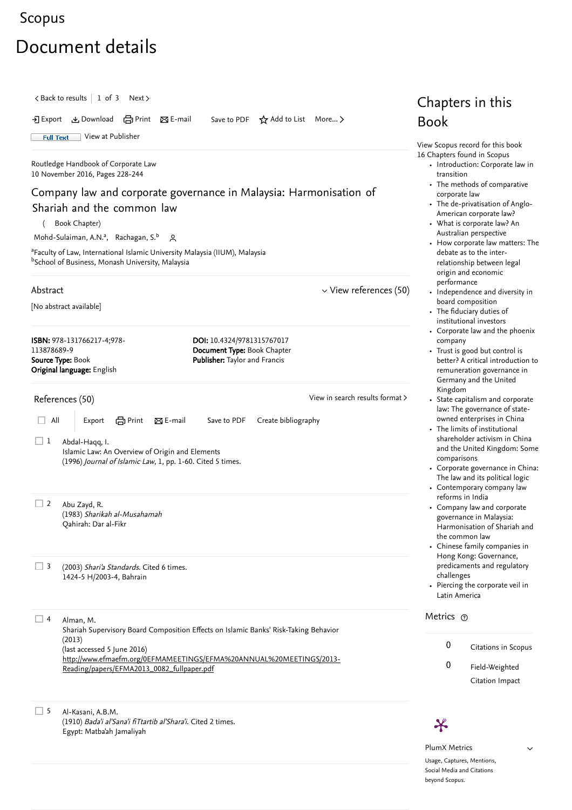## <span id="page-0-2"></span>[Scopus](https://www.scopus.com/home.uri?zone=header&origin=searchbasic)

## Document details

<span id="page-0-1"></span><span id="page-0-0"></span> $\langle$  [Back to results](https://www.scopus.com/results/results.uri?sort=plf-f&src=s&st1=Harmonisation+of+Shariah+and+the+Common+Law&st2=&sid=9dfc01d11207b72080fc4be37c6113ab&sot=b&sdt=b&sl=58&s=TITLE-ABS-KEY%28Harmonisation+of+Shariah+and+the+Common+Law%29&offset=1&origin=recordpage)  $\vert$  1 of 3 [Next](https://www.scopus.com/record/display.uri?origin=recordpage&eid=2-s2.0-85011547223&citeCnt=0&noHighlight=false&sort=plf-f&src=s&st1=Harmonisation+of+Shariah+and+the+Common+Law&st2=&sid=9dfc01d11207b72080fc4be37c6113ab&sot=b&sdt=b&sl=58&s=TITLE-ABS-KEY%28Harmonisation+of+Shariah+and+the+Common+Law%29&relpos=1)  $\rangle$ Chapters in this Export Download Print E-mail Save to PDF ⋆ Add to List More... ▻ Book **Full Text** [View at Publisher](https://www.scopus.com/redirect/linking.uri?targetURL=https%3a%2f%2fdoi.org%2f10.4324%2f9781315767017&locationID=1&categoryID=4&eid=2-s2.0-85028005906&issn=&linkType=ViewAtPublisher&year=2016&origin=recordpage&dig=35e9454f892c91b09c82dc86386539b1&recordRank=) [View Scopus record for this book](https://www.scopus.com/record/display.uri?eid=2-s2.0-85027992589&origin=recordpage) 16 Chapters found in Scopus [Routledge Handbook of Corporate Law](https://www.scopus.com/record/display.uri?eid=2-s2.0-85027992589&origin=recordpage) • [Introduction: Corporate law in](https://www.scopus.com/record/display.uri?eid=2-s2.0-85027971522&origin=recordpage) 10 November 2016, Pages 228-244 transition [The methods of comparative](https://www.scopus.com/record/display.uri?eid=2-s2.0-85027979417&origin=recordpage) Company law and corporate governance in Malaysia: Harmonisation of corporate law [The de-privatisation of Anglo-](https://www.scopus.com/record/display.uri?eid=2-s2.0-85027989690&origin=recordpage)Shariah and the common law American corporate law? ( Book Chapter) [What is corporate law? An](https://www.scopus.com/record/display.uri?eid=2-s2.0-85027980932&origin=recordpage) Australian perspective [Mohd-Sulaiman, A.N.](https://www.scopus.com/authid/detail.uri?authorId=55022884700&eid=2-s2.0-85028005906)ª, [Rachagan, S.](https://www.scopus.com/authid/detail.uri?authorId=55275734300&eid=2-s2.0-85028005906)b Q [How corporate law matters: The](https://www.scopus.com/record/display.uri?eid=2-s2.0-85027962528&origin=recordpage) <sup>a</sup>Faculty of Law, International Islamic University Malaysia (IIUM), Malaysia debate as to the inter-<sup>b</sup>School of Business, Monash University, Malaysia relationship between legal origin and economic performance Abstract  $\vee$  [View references \(50\)](#page-0-0)  $\cdot$  [Independence and diversity in](https://www.scopus.com/record/display.uri?eid=2-s2.0-85027974471&origin=recordpage) board composition [No abstract available] • [The fiduciary duties of](https://www.scopus.com/record/display.uri?eid=2-s2.0-85028007431&origin=recordpage) institutional investors [Corporate law and the phoenix](https://www.scopus.com/record/display.uri?eid=2-s2.0-85027978091&origin=recordpage) ISBN: 978-131766217-4;978- DOI: 10.4324/9781315767017 company 113878689-9 Document Type: Book Chapter Trust is good but control is Publisher: Taylor and Francis Source Type: Book [better? A critical introduction to](https://www.scopus.com/record/display.uri?eid=2-s2.0-85027976250&origin=recordpage) Original language: English remuneration governance in Germany and the United Kingdom [View in search results format](https://www.scopus.com/search/submit/references.uri?sort=plf-f&src=r&imp=t&sid=70cd3d5120e693884fce065cc2fa3b1e&sot=rec&sdt=citedreferences&sl=23&s=EID%282-s2.0-85028005906%29&origin=recordpage&citeCnt=1&citingId=2-s2.0-85028005906) > References (50) • [State capitalism and corporate](https://www.scopus.com/record/display.uri?eid=2-s2.0-85028016041&origin=recordpage) law: The governance of stateowned enterprises in China  $\Box$  All Export  $\Box$  Print  $\boxtimes$  E-mail Save to PDF Create bibliography The limits of institutional shareholder activism in China  $\Box$  1 Abdal-Haqq, I. [and the United Kingdom: Some](https://www.scopus.com/record/display.uri?eid=2-s2.0-85027989640&origin=recordpage) Islamic Law: An Overview of Origin and Elements comparisons (1996) *Journal of Islamic Law*, 1, pp. 1-60. [Cited 5 times](https://www.scopus.com/search/submit/citedby.uri?eid=2-s2.0-85028005906&refeid=2-s2.0-78649613811&src=s&origin=reflist&refstat=dummy). [Corporate governance in China:](https://www.scopus.com/record/display.uri?eid=2-s2.0-85027993054&origin=recordpage) The law and its political logic [Contemporary company law](https://www.scopus.com/record/display.uri?eid=2-s2.0-85027984119&origin=recordpage) reforms in India  $\Box$  2 Abu Zayd, R. Company law and corporate (1983) Sharikah al-Musahamah governance in Malaysia: Qahirah: Dar al-Fikr Harmonisation of Shariah and the common law Chinese family companies in Hong Kong: Governance, [predicaments and regulatory](https://www.scopus.com/record/display.uri?eid=2-s2.0-85027989980&origin=recordpage) 3 (2003) Shari'a Standards. [Cited 6 times](https://www.scopus.com/search/submit/citedby.uri?eid=2-s2.0-85028005906&refeid=2-s2.0-84873327503&src=s&origin=reflist&refstat=dummy). challenges 1424-5 H/2003-4, Bahrain [Piercing the corporate veil in](https://www.scopus.com/record/display.uri?eid=2-s2.0-85028012182&origin=recordpage) Latin America Metrics  $\Box$  4 Alman, M. Shariah Supervisory Board Composition Effects on Islamic Banks' Risk-Taking Behavior (2013) 0 Citations in Scopus (last accessed 5 June 2016) [http://www.efmaefm.org/0EFMAMEETINGS/EFMA%20ANNUAL%20MEETINGS/2013-](http://www.efmaefm.org/0EFMAMEETINGS/EFMA%20ANNUAL%20MEETINGS/2013-Reading/papers/EFMA2013_0082_fullpaper.pdf) 0 Field-Weighted Reading/papers/EFMA2013\_0082\_fullpaper.pdf Citation Impact  $\square$  5 Al-Kasani, A.B.M. (1910) *Bada'i al'Sana'i fiTtartib al'Shara'i*. [Cited 2 times](https://www.scopus.com/search/submit/citedby.uri?eid=2-s2.0-85028005906&refeid=2-s2.0-84882006314&src=s&origin=reflist&refstat=dummy).  $\boldsymbol{\varkappa}$ Egypt: Matba'ah Jamaliyah PlumX Metrics

> Usage, Captures, Mentions, Social Media and Citations beyond Scopus.

 $\checkmark$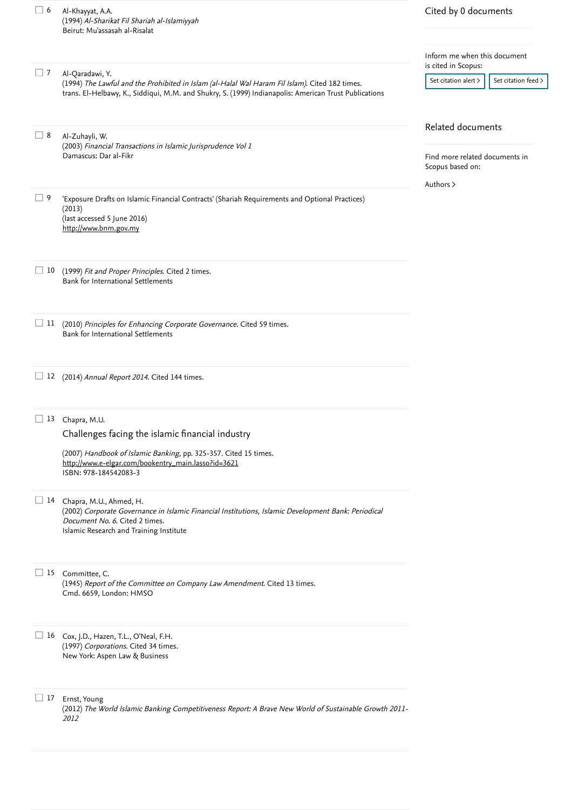| 6                             | Al-Khayyat, A.A.<br>(1994) Al-Sharikat Fil Shariah al-Islamiyyah<br>Beirut: Mu'assasah al-Risalat                                                                                                                          | Cited by 0 documents                                                                 |  |
|-------------------------------|----------------------------------------------------------------------------------------------------------------------------------------------------------------------------------------------------------------------------|--------------------------------------------------------------------------------------|--|
|                               |                                                                                                                                                                                                                            | Inform me when this document<br>is cited in Scopus:                                  |  |
| $\Box$ 7                      | Al-Qaradawi, Y.<br>(1994) The Lawful and the Prohibited in Islam (al-Halal Wal Haram Fil Islam). Cited 182 times.<br>trans. El-Helbawy, K., Siddiqui, M.M. and Shukry, S. (1999) Indianapolis: American Trust Publications | Set citation feed ><br>Set citation alert >                                          |  |
| 8                             | Al-Zuhayli, W.<br>(2003) Financial Transactions in Islamic Jurisprudence Vol 1<br>Damascus: Dar al-Fikr                                                                                                                    | Related documents<br>Find more related documents in<br>Scopus based on:<br>Authors > |  |
| 9<br>$\overline{\phantom{a}}$ | 'Exposure Drafts on Islamic Financial Contracts' (Shariah Requirements and Optional Practices)<br>(2013)<br>(last accessed 5 June 2016)<br>http://www.bnm.gov.my                                                           |                                                                                      |  |
| 10<br>ப                       | (1999) Fit and Proper Principles. Cited 2 times.<br>Bank for International Settlements                                                                                                                                     |                                                                                      |  |
| $\Box$ 11                     | (2010) Principles for Enhancing Corporate Governance. Cited 59 times.<br>Bank for International Settlements                                                                                                                |                                                                                      |  |
| 12                            | (2014) Annual Report 2014. Cited 144 times.                                                                                                                                                                                |                                                                                      |  |
| 13                            | Chapra, M.U.<br>Challenges facing the islamic financial industry<br>(2007) Handbook of Islamic Banking, pp. 325-357. Cited 15 times.<br>http://www.e-elgar.com/bookentry_main.lasso?id=3621<br>ISBN: 978-184542083-3       |                                                                                      |  |
|                               | 14 Chapra, M.U., Ahmed, H.<br>(2002) Corporate Governance in Islamic Financial Institutions, Islamic Development Bank: Periodical<br>Document No. 6. Cited 2 times.<br>Islamic Research and Training Institute             |                                                                                      |  |
|                               | 15 Committee, C.<br>(1945) Report of the Committee on Company Law Amendment. Cited 13 times.<br>Cmd. 6659, London: HMSO                                                                                                    |                                                                                      |  |
|                               | 16 Cox, J.D., Hazen, T.L., O'Neal, F.H.<br>(1997) Corporations. Cited 34 times.<br>New York: Aspen Law & Business                                                                                                          |                                                                                      |  |
| $\Box$ 17                     | Ernst, Young<br>(2012) The World Islamic Banking Competitiveness Report: A Brave New World of Sustainable Growth 2011-<br>2012                                                                                             |                                                                                      |  |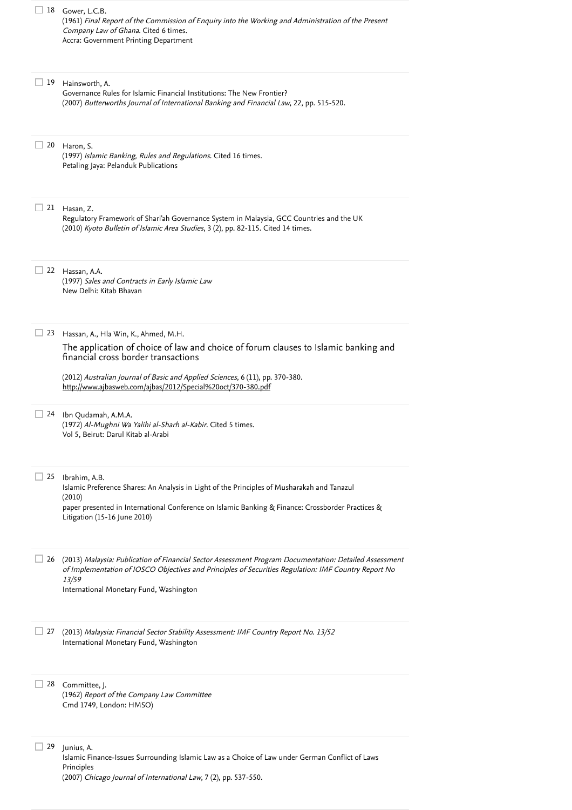| 18 | Gower, L.C.B.<br>(1961) Final Report of the Commission of Enquiry into the Working and Administration of the Present<br>Company Law of Ghana. Cited 6 times.<br>Accra: Government Printing Department                                                                                                               |
|----|---------------------------------------------------------------------------------------------------------------------------------------------------------------------------------------------------------------------------------------------------------------------------------------------------------------------|
| 19 | Hainsworth, A.<br>Governance Rules for Islamic Financial Institutions: The New Frontier?<br>(2007) Butterworths Journal of International Banking and Financial Law, 22, pp. 515-520.                                                                                                                                |
| 20 | Haron, S.<br>(1997) Islamic Banking, Rules and Regulations. Cited 16 times.<br>Petaling Jaya: Pelanduk Publications                                                                                                                                                                                                 |
| 21 | Hasan, Z.<br>Regulatory Framework of Shari'ah Governance System in Malaysia, GCC Countries and the UK<br>(2010) Kyoto Bulletin of Islamic Area Studies, 3 (2), pp. 82-115. Cited 14 times.                                                                                                                          |
| 22 | Hassan, A.A.<br>(1997) Sales and Contracts in Early Islamic Law<br>New Delhi: Kitab Bhavan                                                                                                                                                                                                                          |
| 23 | Hassan, A., Hla Win, K., Ahmed, M.H.<br>The application of choice of law and choice of forum clauses to Islamic banking and<br>financial cross border transactions<br>(2012) Australian Journal of Basic and Applied Sciences, 6 (11), pp. 370-380.<br>http://www.ajbasweb.com/ajbas/2012/Special%20oct/370-380.pdf |
| 24 | Ibn Qudamah, A.M.A.<br>(1972) Al-Mughni Wa Yalihi al-Sharh al-Kabir. Cited 5 times.<br>Vol 5, Beirut: Darul Kitab al-Arabi                                                                                                                                                                                          |
| 25 | Ibrahim, A.B.<br>Islamic Preference Shares: An Analysis in Light of the Principles of Musharakah and Tanazul<br>(2010)<br>paper presented in International Conference on Islamic Banking & Finance: Crossborder Practices &<br>Litigation (15-16 June 2010)                                                         |
| 26 | (2013) Malaysia: Publication of Financial Sector Assessment Program Documentation: Detailed Assessment<br>of Implementation of IOSCO Objectives and Principles of Securities Regulation: IMF Country Report No<br>13/59<br>International Monetary Fund, Washington                                                  |
| 27 | (2013) Malaysia: Financial Sector Stability Assessment: IMF Country Report No. 13/52<br>International Monetary Fund, Washington                                                                                                                                                                                     |
| 28 | Committee, J.<br>(1962) Report of the Company Law Committee<br>Cmd 1749, London: HMSO)                                                                                                                                                                                                                              |
| 29 | Junius, A.<br>Islamic Finance-Issues Surrounding Islamic Law as a Choice of Law under German Conflict of Laws<br>Principles<br>(2007) Chicago Journal of International Law, 7 (2), pp. 537-550.                                                                                                                     |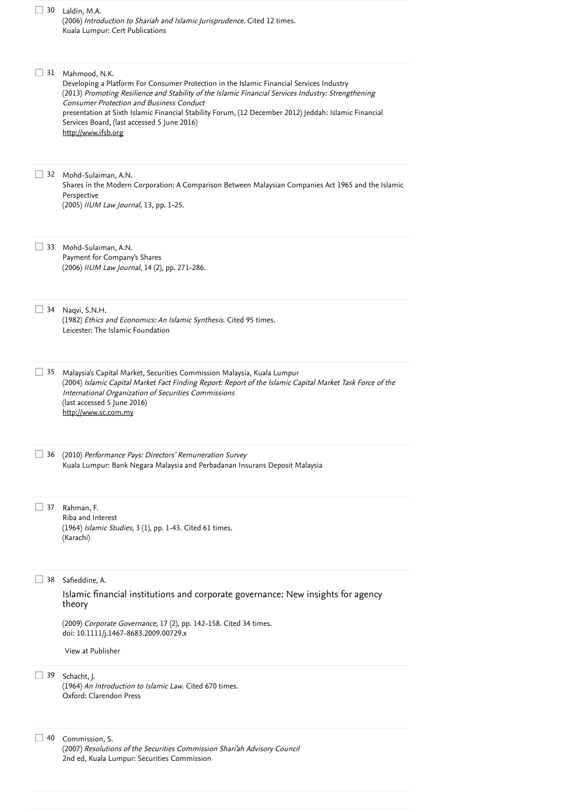| 30 | Laldin, M.A.<br>(2006) Introduction to Shariah and Islamic Jurisprudence. Cited 12 times.<br>Kuala Lumpur: Cert Publications                                                                                                                                                                                                                                                                                                                |
|----|---------------------------------------------------------------------------------------------------------------------------------------------------------------------------------------------------------------------------------------------------------------------------------------------------------------------------------------------------------------------------------------------------------------------------------------------|
| 31 | Mahmood, N.K.<br>Developing a Platform For Consumer Protection in the Islamic Financial Services Industry<br>(2013) Promoting Resilience and Stability of the Islamic Financial Services Industry: Strengthening<br>Consumer Protection and Business Conduct<br>presentation at Sixth Islamic Financial Stability Forum, (12 December 2012) Jeddah: Islamic Financial<br>Services Board, (last accessed 5 June 2016)<br>http://www.ifsb.org |
| 32 | Mohd-Sulaiman, A.N.<br>Shares in the Modern Corporation: A Comparison Between Malaysian Companies Act 1965 and the Islamic<br>Perspective<br>(2005) IIUM Law Journal, 13, pp. 1-25.                                                                                                                                                                                                                                                         |
| 33 | Mohd-Sulaiman, A.N.<br>Payment for Company's Shares<br>(2006) IIUM Law Journal, 14 (2), pp. 271-286.                                                                                                                                                                                                                                                                                                                                        |
| 34 | Naqvi, S.N.H.<br>(1982) Ethics and Economics: An Islamic Synthesis. Cited 95 times.<br>Leicester: The Islamic Foundation                                                                                                                                                                                                                                                                                                                    |
| 35 | Malaysia's Capital Market, Securities Commission Malaysia, Kuala Lumpur<br>(2004) Islamic Capital Market Fact Finding Report: Report of the Islamic Capital Market Task Force of the<br>International Organization of Securities Commissions<br>(last accessed 5 June 2016)<br>http://www.sc.com.my                                                                                                                                         |
| 36 | (2010) Performance Pays: Directors' Remuneration Survey<br>Kuala Lumpur: Bank Negara Malaysia and Perbadanan Insurans Deposit Malaysia                                                                                                                                                                                                                                                                                                      |
| 37 | Rahman, F.<br>Riba and Interest<br>(1964) Islamic Studies, 3 (1), pp. 1-43. Cited 61 times.<br>(Karachi)                                                                                                                                                                                                                                                                                                                                    |
| 38 | Safieddine, A.<br>Islamic financial institutions and corporate governance: New insights for agency<br>theory                                                                                                                                                                                                                                                                                                                                |
|    | (2009) Corporate Governance, 17 (2), pp. 142-158. Cited 34 times.<br>doi: 10.1111/j.1467-8683.2009.00729.x                                                                                                                                                                                                                                                                                                                                  |
|    | View at Publisher                                                                                                                                                                                                                                                                                                                                                                                                                           |
| 39 | Schacht, J.<br>(1964) An Introduction to Islamic Law. Cited 670 times.<br>Oxford: Clarendon Press                                                                                                                                                                                                                                                                                                                                           |
| 40 | Commission, S.<br>(2007) Resolutions of the Securities Commission Shari'ah Advisory Council<br>2nd ed, Kuala Lumpur: Securities Commission                                                                                                                                                                                                                                                                                                  |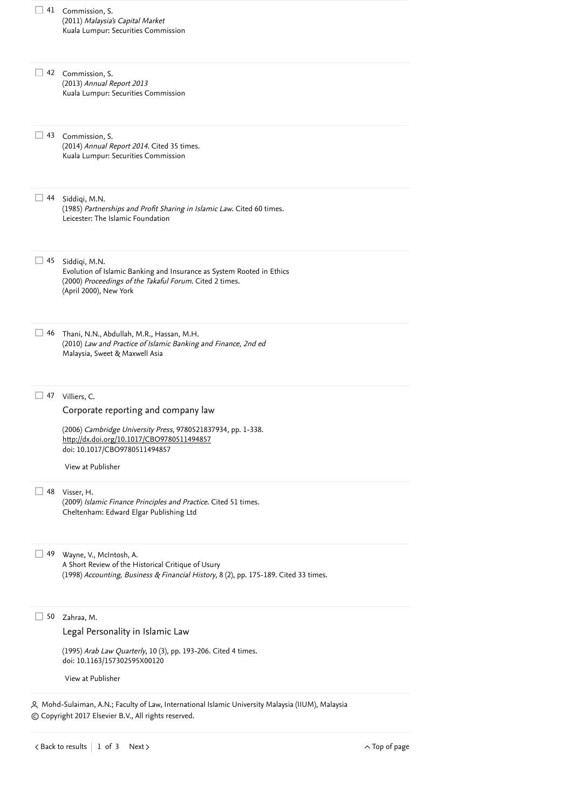<span id="page-4-0"></span>

|    | (2011) Malaysia's Capital Market<br>Kuala Lumpur: Securities Commission                                                                                                                                                 |
|----|-------------------------------------------------------------------------------------------------------------------------------------------------------------------------------------------------------------------------|
|    | 42 Commission, S.<br>(2013) Annual Report 2013<br>Kuala Lumpur: Securities Commission                                                                                                                                   |
| 43 | Commission, S.<br>(2014) Annual Report 2014. Cited 35 times.<br>Kuala Lumpur: Securities Commission                                                                                                                     |
| 44 | Siddiqi, M.N.<br>(1985) Partnerships and Profit Sharing in Islamic Law. Cited 60 times.<br>Leicester: The Islamic Foundation                                                                                            |
| 45 | Siddiqi, M.N.<br>Evolution of Islamic Banking and Insurance as System Rooted in Ethics<br>(2000) Proceedings of the Takaful Forum. Cited 2 times.<br>(April 2000), New York                                             |
| 46 | Thani, N.N., Abdullah, M.R., Hassan, M.H.<br>(2010) Law and Practice of Islamic Banking and Finance, 2nd ed<br>Malaysia, Sweet & Maxwell Asia                                                                           |
| 47 | Villiers, C.<br>Corporate reporting and company law<br>(2006) Cambridge University Press, 9780521837934, pp. 1-338.<br>http://dx.doi.org/10.1017/CBO9780511494857<br>doi: 10.1017/CBO9780511494857<br>View at Publisher |
| 48 | Visser, H.<br>(2009) Islamic Finance Principles and Practice. Cited 51 times.<br>Cheltenham: Edward Elgar Publishing Ltd                                                                                                |
| 49 | Wayne, V., McIntosh, A.<br>A Short Review of the Historical Critique of Usury<br>(1998) Accounting, Business & Financial History, 8 (2), pp. 175-189. Cited 33 times.                                                   |
| 50 | Zahraa, M.<br>Legal Personality in Islamic Law<br>(1995) Arab Law Quarterly, 10 (3), pp. 193-206. Cited 4 times.<br>doi: 10.1163/157302595X00120<br>View at Publisher                                                   |